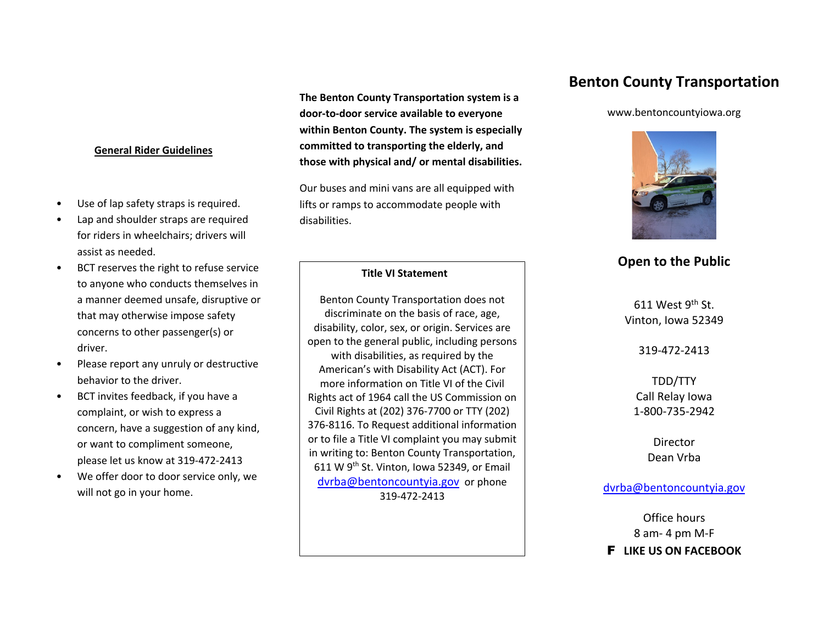# **General Rider Guidelines**

- Use of lap safety straps is required.
- Lap and shoulder straps are required for riders in wheelchairs; drivers will assist as needed.
- BCT reserves the right to refuse service to anyone who conducts themselves in a manner deemed unsafe, disruptive or that may otherwise impose safety concerns to other passenger(s) or driver.
- Please report any unruly or destructive behavior to the driver.
- BCT invites feedback, if you have a complaint, or wish to express a concern, have a suggestion of any kind, or want to compliment someone, please let us know at 319-472-2413
- We offer door to door service only, we will not go in your home.

**The Benton County Transportation system is a door-to-door service available to everyone within Benton County. The system is especially committed to transporting the elderly, and those with physical and/ or mental disabilities.**

Our buses and mini vans are all equipped with lifts or ramps to accommodate people with disabilities.

# **Title VI Statement**

Benton County Transportation does not discriminate on the basis of race, age, disability, color, sex, or origin. Services are open to the general public, including persons with disabilities, as required by the American's with Disability Act (ACT). For more information on Title VI of the Civil Rights act of 1964 call the US Commission on Civil Rights at (202) 376-7700 or TTY (202) 376-8116. To Request additional information or to file a Title VI complaint you may submit in writing to: Benton County Transportation, 611 W 9<sup>th</sup> St. Vinton, Iowa 52349, or Email dvrba@bentoncountyia.gov or phone 319-472-2413

# **Benton County Transportation**

#### www.bentoncountyiowa.org



# **Open to the Public**

611 West  $9<sup>th</sup>$  St. Vinton, Iowa 52349

319-472-2413

TDD/TTY Call Relay Iowa 1-800-735-2942

> **Director** Dean Vrba

# dvrba@bentoncountyia.gov

Office hours 8 am- 4 pm M-F F **LIKE US ON FACEBOOK**